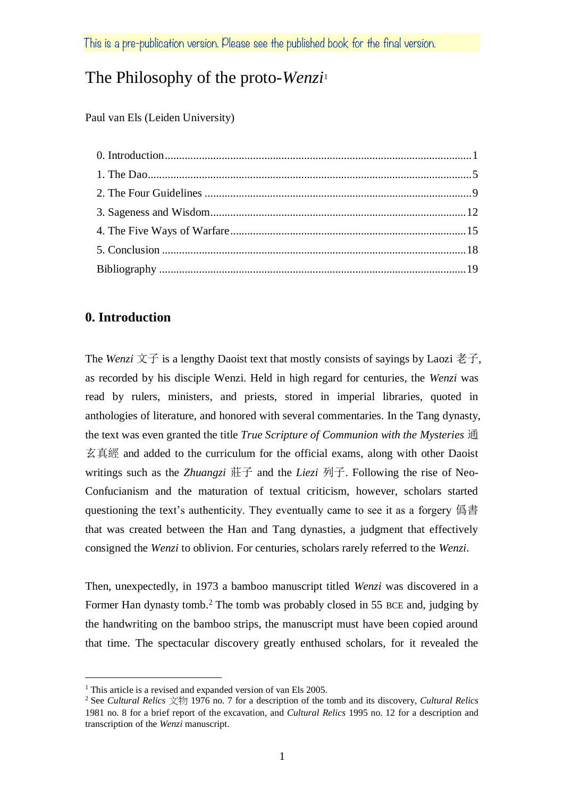# The Philosophy of the proto-*Wenzi*<sup>1</sup>

Paul van Els (Leiden University)

# <span id="page-0-0"></span>**0. Introduction**

1

The *Wenzi* 文子 is a lengthy Daoist text that mostly consists of sayings by Laozi 老子, as recorded by his disciple Wenzi. Held in high regard for centuries, the *Wenzi* was read by rulers, ministers, and priests, stored in imperial libraries, quoted in anthologies of literature, and honored with several commentaries. In the Tang dynasty, the text was even granted the title *True Scripture of Communion with the Mysteries* 通 玄真經 and added to the curriculum for the official exams, along with other Daoist writings such as the *Zhuangzi* 莊子 and the *Liezi* 列子. Following the rise of Neo-Confucianism and the maturation of textual criticism, however, scholars started questioning the text's authenticity. They eventually came to see it as a forgery 僞書 that was created between the Han and Tang dynasties, a judgment that effectively consigned the *Wenzi* to oblivion. For centuries, scholars rarely referred to the *Wenzi*.

Then, unexpectedly, in 1973 a bamboo manuscript titled *Wenzi* was discovered in a Former Han dynasty tomb.<sup>2</sup> The tomb was probably closed in 55 BCE and, judging by the handwriting on the bamboo strips, the manuscript must have been copied around that time. The spectacular discovery greatly enthused scholars, for it revealed the

<sup>&</sup>lt;sup>1</sup> This article is a revised and expanded version of van Els 2005.

<sup>2</sup> See *Cultural Relics* 文物 1976 no. 7 for a description of the tomb and its discovery, *Cultural Relics* 1981 no. 8 for a brief report of the excavation, and *Cultural Relics* 1995 no. 12 for a description and transcription of the *Wenzi* manuscript.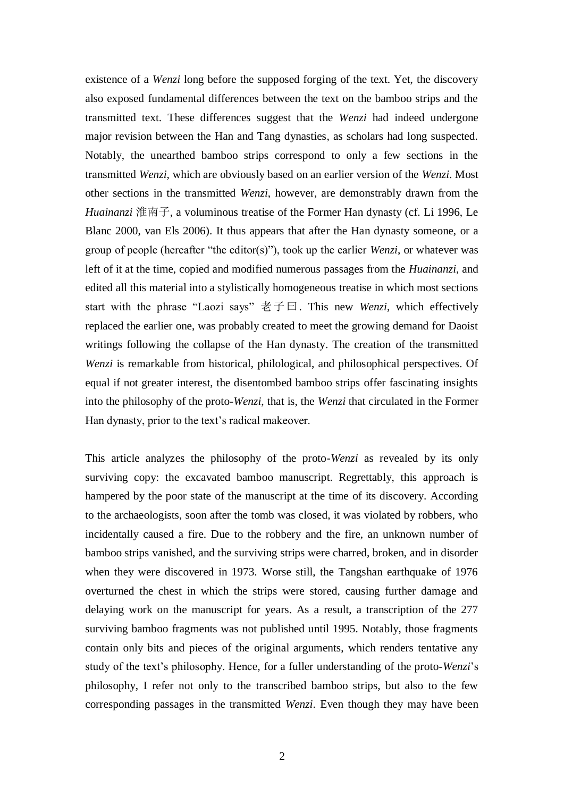existence of a *Wenzi* long before the supposed forging of the text. Yet, the discovery also exposed fundamental differences between the text on the bamboo strips and the transmitted text. These differences suggest that the *Wenzi* had indeed undergone major revision between the Han and Tang dynasties, as scholars had long suspected. Notably, the unearthed bamboo strips correspond to only a few sections in the transmitted *Wenzi*, which are obviously based on an earlier version of the *Wenzi*. Most other sections in the transmitted *Wenzi*, however, are demonstrably drawn from the *Huainanzi* 淮南子, a voluminous treatise of the Former Han dynasty (cf. Li 1996, Le Blanc 2000, van Els 2006). It thus appears that after the Han dynasty someone, or a group of people (hereafter "the editor(s)"), took up the earlier *Wenzi*, or whatever was left of it at the time, copied and modified numerous passages from the *Huainanzi*, and edited all this material into a stylistically homogeneous treatise in which most sections start with the phrase "Laozi says" 老子曰. This new *Wenzi*, which effectively replaced the earlier one, was probably created to meet the growing demand for Daoist writings following the collapse of the Han dynasty. The creation of the transmitted *Wenzi* is remarkable from historical, philological, and philosophical perspectives. Of equal if not greater interest, the disentombed bamboo strips offer fascinating insights into the philosophy of the proto-*Wenzi*, that is, the *Wenzi* that circulated in the Former Han dynasty, prior to the text's radical makeover.

This article analyzes the philosophy of the proto-*Wenzi* as revealed by its only surviving copy: the excavated bamboo manuscript. Regrettably, this approach is hampered by the poor state of the manuscript at the time of its discovery. According to the archaeologists, soon after the tomb was closed, it was violated by robbers, who incidentally caused a fire. Due to the robbery and the fire, an unknown number of bamboo strips vanished, and the surviving strips were charred, broken, and in disorder when they were discovered in 1973. Worse still, the Tangshan earthquake of 1976 overturned the chest in which the strips were stored, causing further damage and delaying work on the manuscript for years. As a result, a transcription of the 277 surviving bamboo fragments was not published until 1995. Notably, those fragments contain only bits and pieces of the original arguments, which renders tentative any study of the text's philosophy. Hence, for a fuller understanding of the proto-*Wenzi*'s philosophy, I refer not only to the transcribed bamboo strips, but also to the few corresponding passages in the transmitted *Wenzi*. Even though they may have been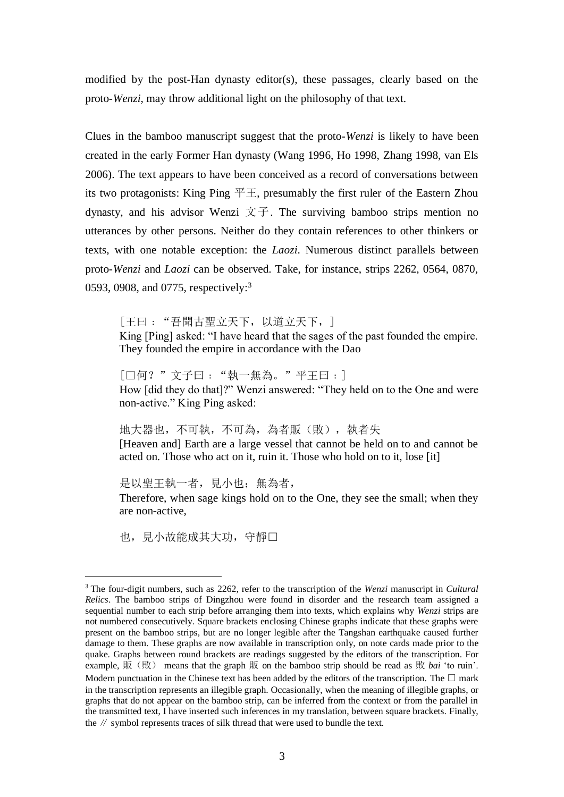modified by the post-Han dynasty editor(s), these passages, clearly based on the proto-*Wenzi*, may throw additional light on the philosophy of that text.

Clues in the bamboo manuscript suggest that the proto-*Wenzi* is likely to have been created in the early Former Han dynasty (Wang 1996, Ho 1998, Zhang 1998, van Els 2006). The text appears to have been conceived as a record of conversations between its two protagonists: King Ping  $\overline{P} \pm$ , presumably the first ruler of the Eastern Zhou dynasty, and his advisor Wenzi  $\overline{\chi}$ . The surviving bamboo strips mention no utterances by other persons. Neither do they contain references to other thinkers or texts, with one notable exception: the *Laozi*. Numerous distinct parallels between proto-*Wenzi* and *Laozi* can be observed. Take, for instance, strips 2262, 0564, 0870, 0593, 0908, and 0775, respectively:<sup>3</sup>

[王曰: "吾聞古聖立天下, 以道立天下, ] King [Ping] asked: "I have heard that the sages of the past founded the empire. They founded the empire in accordance with the Dao

[□何?"文子曰﹕"執一無為。"平王曰﹕] How [did they do that]?" Wenzi answered: "They held on to the One and were non-active." King Ping asked:

地大器也,不可執,不可為,為者販(敗),執者失 [Heaven and] Earth are a large vessel that cannot be held on to and cannot be acted on. Those who act on it, ruin it. Those who hold on to it, lose [it]

是以聖王執一者,見小也;無為者, Therefore, when sage kings hold on to the One, they see the small; when they are non-active,

也, 見小故能成其大功, 守靜□

 $\overline{a}$ 

<sup>3</sup> The four-digit numbers, such as 2262, refer to the transcription of the *Wenzi* manuscript in *Cultural Relics*. The bamboo strips of Dingzhou were found in disorder and the research team assigned a sequential number to each strip before arranging them into texts, which explains why *Wenzi* strips are not numbered consecutively. Square brackets enclosing Chinese graphs indicate that these graphs were present on the bamboo strips, but are no longer legible after the Tangshan earthquake caused further damage to them. These graphs are now available in transcription only, on note cards made prior to the quake. Graphs between round brackets are readings suggested by the editors of the transcription. For example, 販(敗) means that the graph 販 on the bamboo strip should be read as 敗 *bai* 'to ruin'. Modern punctuation in the Chinese text has been added by the editors of the transcription. The  $\Box$  mark in the transcription represents an illegible graph. Occasionally, when the meaning of illegible graphs, or graphs that do not appear on the bamboo strip, can be inferred from the context or from the parallel in the transmitted text, I have inserted such inferences in my translation, between square brackets. Finally, the ∥ symbol represents traces of silk thread that were used to bundle the text.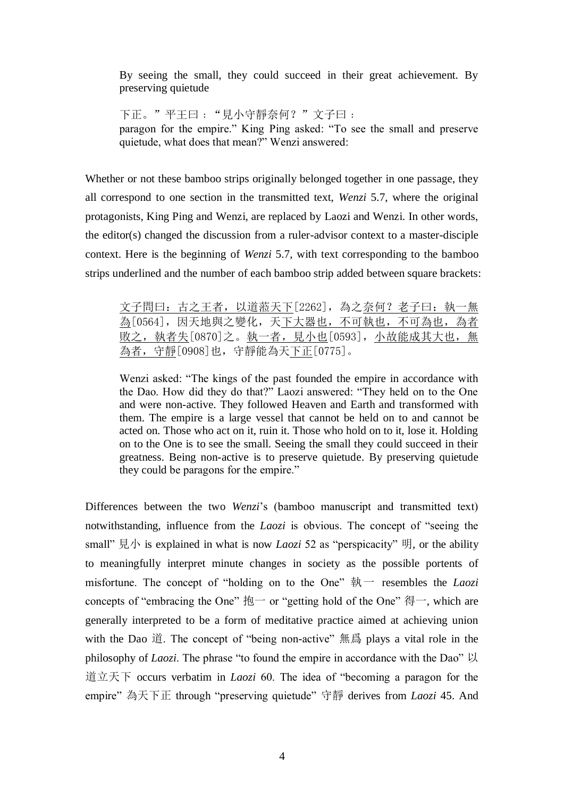By seeing the small, they could succeed in their great achievement. By preserving quietude

下正。"平王曰:"見小守靜奈何?"文子曰: paragon for the empire." King Ping asked: "To see the small and preserve quietude, what does that mean?" Wenzi answered:

Whether or not these bamboo strips originally belonged together in one passage, they all correspond to one section in the transmitted text, *Wenzi* 5.7, where the original protagonists, King Ping and Wenzi, are replaced by Laozi and Wenzi. In other words, the editor(s) changed the discussion from a ruler-advisor context to a master-disciple context. Here is the beginning of *Wenzi* 5.7, with text corresponding to the bamboo strips underlined and the number of each bamboo strip added between square brackets:

文子問曰:古之王者,以道蒞天下[2262],為之奈何?老子曰:執一無 為[0564],因天地與之變化,天下大器也,不可執也,不可為也,為者 敗之,執者失[0870]之。執一者,見小也[0593],小故能成其大也,無 為者,守靜[0908]也,守靜能為天下正[0775]。

Wenzi asked: "The kings of the past founded the empire in accordance with the Dao. How did they do that?" Laozi answered: "They held on to the One and were non-active. They followed Heaven and Earth and transformed with them. The empire is a large vessel that cannot be held on to and cannot be acted on. Those who act on it, ruin it. Those who hold on to it, lose it. Holding on to the One is to see the small. Seeing the small they could succeed in their greatness. Being non-active is to preserve quietude. By preserving quietude they could be paragons for the empire."

Differences between the two *Wenzi*'s (bamboo manuscript and transmitted text) notwithstanding, influence from the *Laozi* is obvious. The concept of "seeing the small" 見小 is explained in what is now *Laozi* 52 as "perspicacity" 明, or the ability to meaningfully interpret minute changes in society as the possible portents of misfortune. The concept of "holding on to the One"  $\frac{4}{3}$  resembles the *Laozi* concepts of "embracing the One" 抱一 or "getting hold of the One" 得一, which are generally interpreted to be a form of meditative practice aimed at achieving union with the Dao 道. The concept of "being non-active" 無爲 plays a vital role in the philosophy of *Laozi*. The phrase "to found the empire in accordance with the Dao" 以 道立天下 occurs verbatim in *Laozi* 60. The idea of "becoming a paragon for the empire" 為天下正 through "preserving quietude" 守靜 derives from *Laozi* 45. And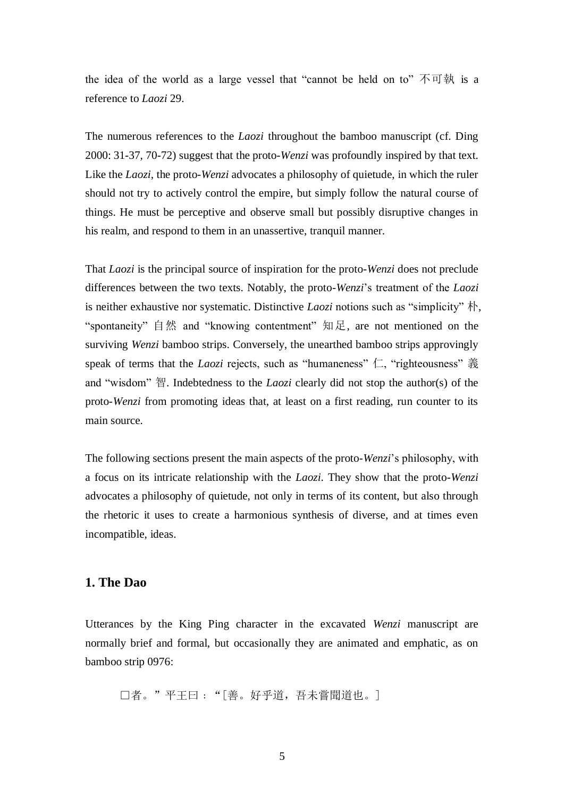the idea of the world as a large vessel that "cannot be held on to"  $\overline{A}$   $\overline{H}$   $\overline{H}$  is a reference to *Laozi* 29.

The numerous references to the *Laozi* throughout the bamboo manuscript (cf. Ding 2000: 31-37, 70-72) suggest that the proto-*Wenzi* was profoundly inspired by that text. Like the *Laozi*, the proto-*Wenzi* advocates a philosophy of quietude, in which the ruler should not try to actively control the empire, but simply follow the natural course of things. He must be perceptive and observe small but possibly disruptive changes in his realm, and respond to them in an unassertive, tranquil manner.

That *Laozi* is the principal source of inspiration for the proto-*Wenzi* does not preclude differences between the two texts. Notably, the proto-*Wenzi*'s treatment of the *Laozi* is neither exhaustive nor systematic. Distinctive *Laozi* notions such as "simplicity"  $\#$ , "spontaneity" 自然 and "knowing contentment" 知足, are not mentioned on the surviving *Wenzi* bamboo strips. Conversely, the unearthed bamboo strips approvingly speak of terms that the *Laozi* rejects, such as "humaneness" 仁, "righteousness" 義 and "wisdom" 智. Indebtedness to the *Laozi* clearly did not stop the author(s) of the proto-*Wenzi* from promoting ideas that, at least on a first reading, run counter to its main source.

The following sections present the main aspects of the proto-*Wenzi*'s philosophy, with a focus on its intricate relationship with the *Laozi*. They show that the proto-*Wenzi* advocates a philosophy of quietude, not only in terms of its content, but also through the rhetoric it uses to create a harmonious synthesis of diverse, and at times even incompatible, ideas.

#### <span id="page-4-0"></span>**1. The Dao**

Utterances by the King Ping character in the excavated *Wenzi* manuscript are normally brief and formal, but occasionally they are animated and emphatic, as on bamboo strip 0976:

□者。"平王曰﹕"[善。好乎道,吾未嘗聞道也。]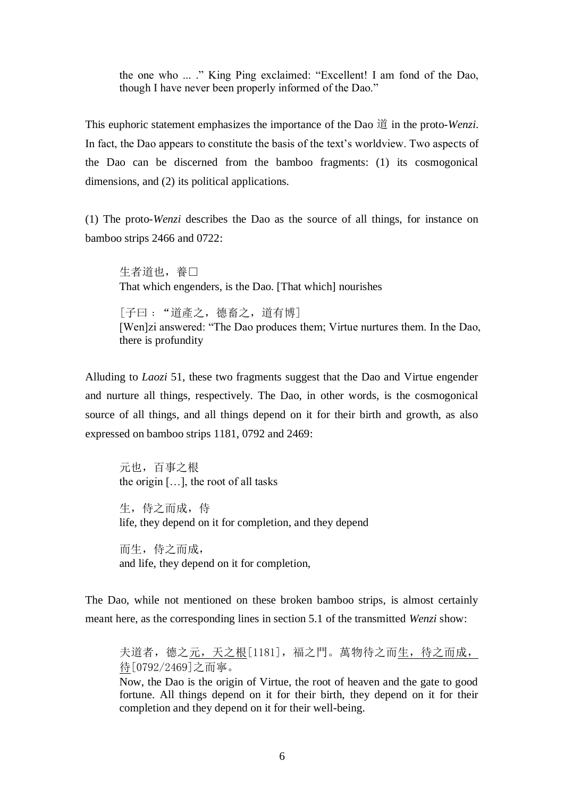the one who ... ." King Ping exclaimed: "Excellent! I am fond of the Dao, though I have never been properly informed of the Dao."

This euphoric statement emphasizes the importance of the Dao 道 in the proto-*Wenzi*. In fact, the Dao appears to constitute the basis of the text's worldview. Two aspects of the Dao can be discerned from the bamboo fragments: (1) its cosmogonical dimensions, and (2) its political applications.

(1) The proto-*Wenzi* describes the Dao as the source of all things, for instance on bamboo strips 2466 and 0722:

生者道也, 養口 That which engenders, is the Dao. [That which] nourishes

[子曰﹕"道產之,德畜之,道有博] [Wen]zi answered: "The Dao produces them; Virtue nurtures them. In the Dao, there is profundity

Alluding to *Laozi* 51, these two fragments suggest that the Dao and Virtue engender and nurture all things, respectively. The Dao, in other words, is the cosmogonical source of all things, and all things depend on it for their birth and growth, as also expressed on bamboo strips 1181, 0792 and 2469:

元也,百事之根 the origin  $[\dots]$ , the root of all tasks 生,侍之而成,侍 life, they depend on it for completion, and they depend

而生,侍之而成, and life, they depend on it for completion,

The Dao, while not mentioned on these broken bamboo strips, is almost certainly meant here, as the corresponding lines in section 5.1 of the transmitted *Wenzi* show:

夫道者,德之元,天之根[1181],福之門。萬物待之而生,待之而成, 待[0792/2469]之而寧。

Now, the Dao is the origin of Virtue, the root of heaven and the gate to good fortune. All things depend on it for their birth, they depend on it for their completion and they depend on it for their well-being.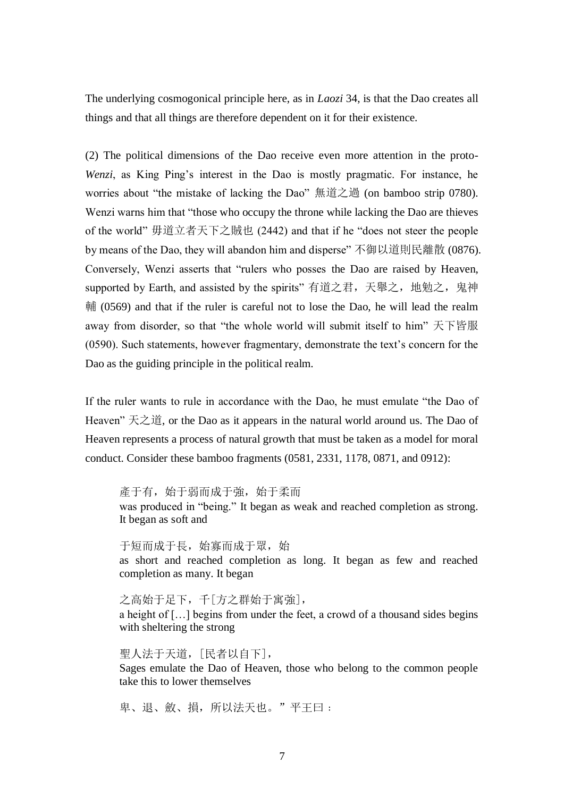The underlying cosmogonical principle here, as in *Laozi* 34, is that the Dao creates all things and that all things are therefore dependent on it for their existence.

(2) The political dimensions of the Dao receive even more attention in the proto-*Wenzi*, as King Ping's interest in the Dao is mostly pragmatic. For instance, he worries about "the mistake of lacking the Dao" 無道之過 (on bamboo strip 0780). Wenzi warns him that "those who occupy the throne while lacking the Dao are thieves of the world" 毋道立者天下之賊也 (2442) and that if he "does not steer the people by means of the Dao, they will abandon him and disperse" 不御以道則民離散 (0876). Conversely, Wenzi asserts that "rulers who posses the Dao are raised by Heaven, supported by Earth, and assisted by the spirits" 有道之君, 天舉之, 地勉之, 鬼神 輔 (0569) and that if the ruler is careful not to lose the Dao, he will lead the realm away from disorder, so that "the whole world will submit itself to him" 天下皆服 (0590). Such statements, however fragmentary, demonstrate the text's concern for the Dao as the guiding principle in the political realm.

If the ruler wants to rule in accordance with the Dao, he must emulate "the Dao of Heaven" 天之道, or the Dao as it appears in the natural world around us. The Dao of Heaven represents a process of natural growth that must be taken as a model for moral conduct. Consider these bamboo fragments (0581, 2331, 1178, 0871, and 0912):

產于有,始于弱而成于強,始于柔而 was produced in "being." It began as weak and reached completion as strong. It began as soft and

于短而成于長, 始寡而成于眾, 始 as short and reached completion as long. It began as few and reached completion as many. It began

之高始于足下,千[方之群始于寓強], a height of […] begins from under the feet, a crowd of a thousand sides begins with sheltering the strong

聖人法于天道,[民者以自下], Sages emulate the Dao of Heaven, those who belong to the common people take this to lower themselves

卑、退、斂、損,所以法天也。"平王曰: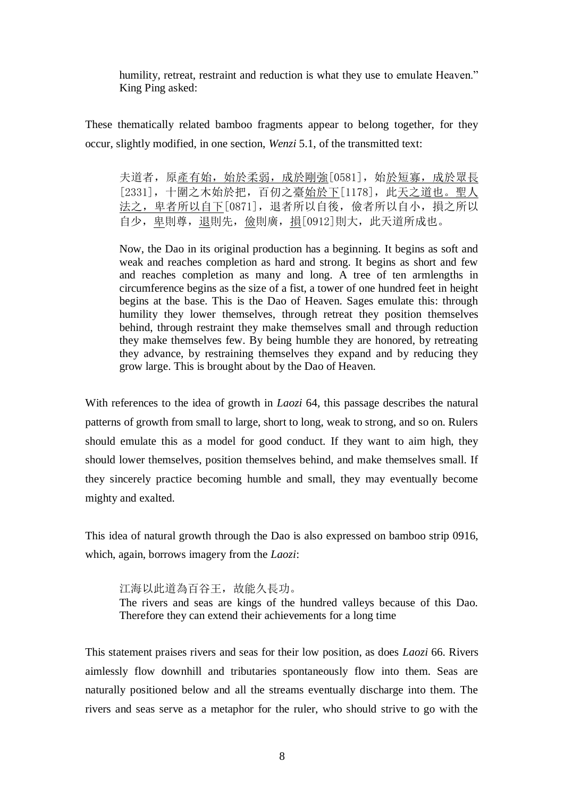humility, retreat, restraint and reduction is what they use to emulate Heaven." King Ping asked:

These thematically related bamboo fragments appear to belong together, for they occur, slightly modified, in one section, *Wenzi* 5.1, of the transmitted text:

夫道者,原產有始,始於柔弱,成於剛強[0581],始於短寡,成於眾長 [2331],十圍之木始於把,百仞之臺始於下[1178],此天之道也。聖人 法之,卑者所以自下[0871],退者所以自後,儉者所以自小,損之所以 自少,卑則尊,退則先,儉則廣,損[0912]則大,此天道所成也。

Now, the Dao in its original production has a beginning. It begins as soft and weak and reaches completion as hard and strong. It begins as short and few and reaches completion as many and long. A tree of ten armlengths in circumference begins as the size of a fist, a tower of one hundred feet in height begins at the base. This is the Dao of Heaven. Sages emulate this: through humility they lower themselves, through retreat they position themselves behind, through restraint they make themselves small and through reduction they make themselves few. By being humble they are honored, by retreating they advance, by restraining themselves they expand and by reducing they grow large. This is brought about by the Dao of Heaven.

With references to the idea of growth in *Laozi* 64, this passage describes the natural patterns of growth from small to large, short to long, weak to strong, and so on. Rulers should emulate this as a model for good conduct. If they want to aim high, they should lower themselves, position themselves behind, and make themselves small. If they sincerely practice becoming humble and small, they may eventually become mighty and exalted.

This idea of natural growth through the Dao is also expressed on bamboo strip 0916, which, again, borrows imagery from the *Laozi*:

江海以此道為百谷王,故能久長功。

The rivers and seas are kings of the hundred valleys because of this Dao. Therefore they can extend their achievements for a long time

This statement praises rivers and seas for their low position, as does *Laozi* 66. Rivers aimlessly flow downhill and tributaries spontaneously flow into them. Seas are naturally positioned below and all the streams eventually discharge into them. The rivers and seas serve as a metaphor for the ruler, who should strive to go with the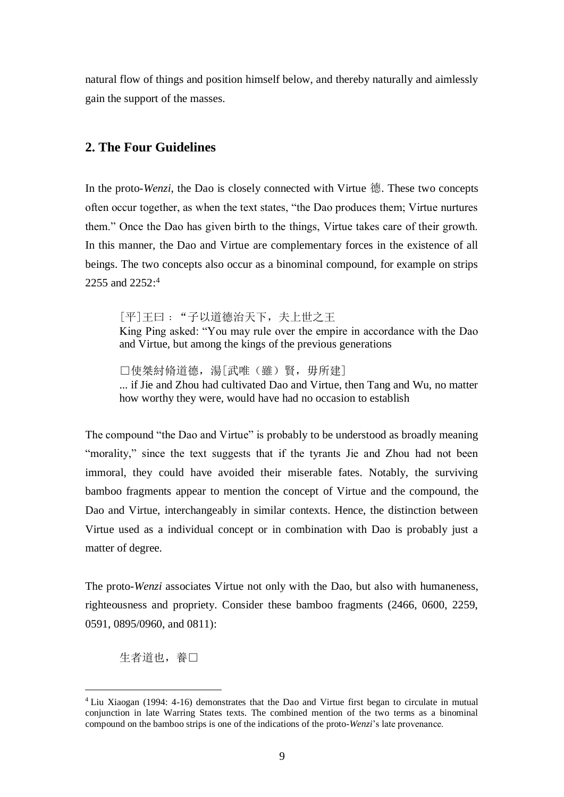natural flow of things and position himself below, and thereby naturally and aimlessly gain the support of the masses.

# <span id="page-8-0"></span>**2. The Four Guidelines**

In the proto-*Wenzi*, the Dao is closely connected with Virtue 德. These two concepts often occur together, as when the text states, "the Dao produces them; Virtue nurtures them." Once the Dao has given birth to the things, Virtue takes care of their growth. In this manner, the Dao and Virtue are complementary forces in the existence of all beings. The two concepts also occur as a binominal compound, for example on strips 2255 and 2252:<sup>4</sup>

[平]王曰﹕"子以道德治天下,夫上世之王 King Ping asked: "You may rule over the empire in accordance with the Dao and Virtue, but among the kings of the previous generations

□使桀紂脩道德,湯[武唯(雖)賢,毋所建] ... if Jie and Zhou had cultivated Dao and Virtue, then Tang and Wu, no matter how worthy they were, would have had no occasion to establish

The compound "the Dao and Virtue" is probably to be understood as broadly meaning "morality," since the text suggests that if the tyrants Jie and Zhou had not been immoral, they could have avoided their miserable fates. Notably, the surviving bamboo fragments appear to mention the concept of Virtue and the compound, the Dao and Virtue, interchangeably in similar contexts. Hence, the distinction between Virtue used as a individual concept or in combination with Dao is probably just a matter of degree.

The proto-*Wenzi* associates Virtue not only with the Dao, but also with humaneness, righteousness and propriety. Consider these bamboo fragments (2466, 0600, 2259, 0591, 0895/0960, and 0811):

生者道也, 養口

 $\overline{a}$ 

<sup>4</sup> Liu Xiaogan (1994: 4-16) demonstrates that the Dao and Virtue first began to circulate in mutual conjunction in late Warring States texts. The combined mention of the two terms as a binominal compound on the bamboo strips is one of the indications of the proto-*Wenzi*'s late provenance.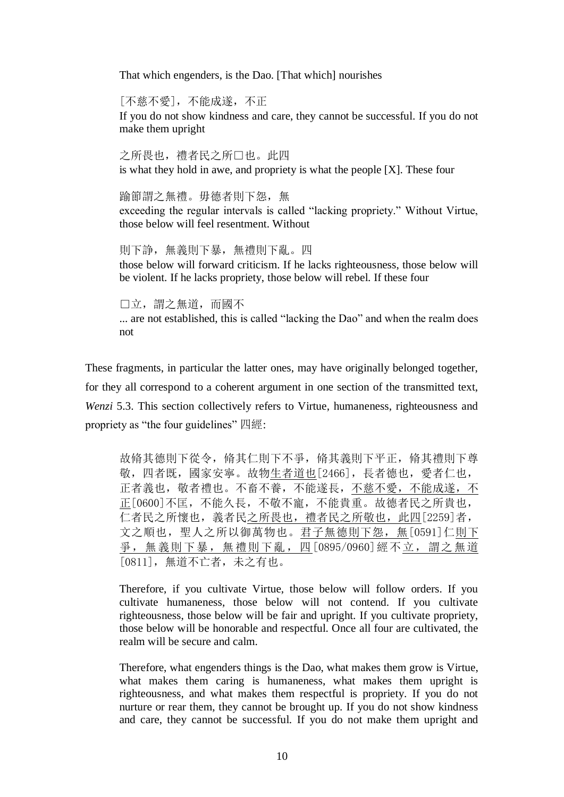That which engenders, is the Dao. [That which] nourishes

[不慈不愛],不能成遂,不正 If you do not show kindness and care, they cannot be successful. If you do not make them upright

之所畏也, 禮者民之所口也。此四 is what they hold in awe, and propriety is what the people [X]. These four

踰節謂之無禮。毋德者則下怨,無 exceeding the regular intervals is called "lacking propriety." Without Virtue, those below will feel resentment. Without

則下諍,無義則下暴,無禮則下亂。四 those below will forward criticism. If he lacks righteousness, those below will be violent. If he lacks propriety, those below will rebel. If these four

□立,謂之無道,而國不 ... are not established, this is called "lacking the Dao" and when the realm does not

These fragments, in particular the latter ones, may have originally belonged together, for they all correspond to a coherent argument in one section of the transmitted text, *Wenzi* 5.3. This section collectively refers to Virtue, humaneness, righteousness and propriety as "the four guidelines" 四經:

故脩其德則下從令,脩其仁則下不爭,脩其義則下平正,脩其禮則下尊 敬,四者既,國家安寧。故物生者道也[2466],長者德也,愛者仁也, 正者義也, 敬者禮也。不畜不養, 不能遂長, 不慈不愛, 不能成遂, 不 正[0600]不匡,不能久長,不敬不寵,不能貴重。故德者民之所貴也, 仁者民之所懷也,義者民之所畏也,禮者民之所敬也,此四[2259]者, 文之順也, 聖人之所以御萬物也。君子無德則下怨, 無[0591]仁則下 爭,無義則下暴,無禮則下亂,四[0895/0960]經不立,謂之無道 [0811],無道不亡者,未之有也。

Therefore, if you cultivate Virtue, those below will follow orders. If you cultivate humaneness, those below will not contend. If you cultivate righteousness, those below will be fair and upright. If you cultivate propriety, those below will be honorable and respectful. Once all four are cultivated, the realm will be secure and calm.

Therefore, what engenders things is the Dao, what makes them grow is Virtue, what makes them caring is humaneness, what makes them upright is righteousness, and what makes them respectful is propriety. If you do not nurture or rear them, they cannot be brought up. If you do not show kindness and care, they cannot be successful. If you do not make them upright and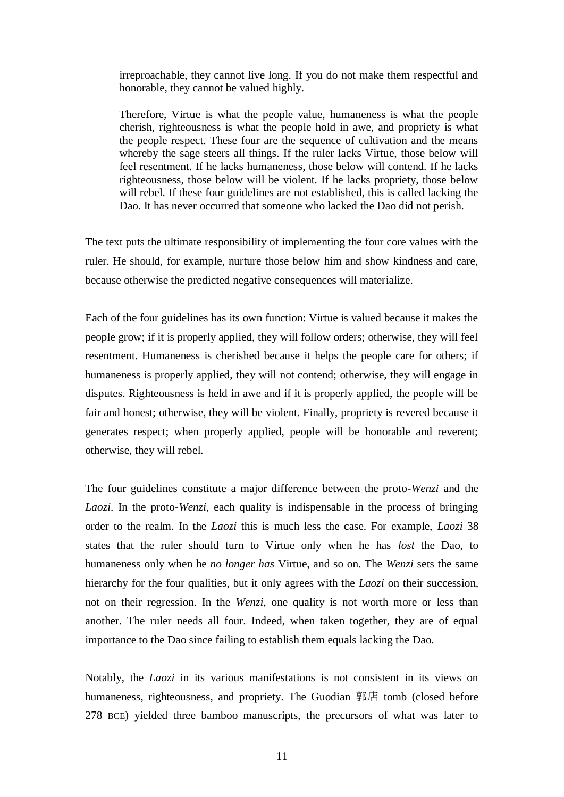irreproachable, they cannot live long. If you do not make them respectful and honorable, they cannot be valued highly.

Therefore, Virtue is what the people value, humaneness is what the people cherish, righteousness is what the people hold in awe, and propriety is what the people respect. These four are the sequence of cultivation and the means whereby the sage steers all things. If the ruler lacks Virtue, those below will feel resentment. If he lacks humaneness, those below will contend. If he lacks righteousness, those below will be violent. If he lacks propriety, those below will rebel. If these four guidelines are not established, this is called lacking the Dao. It has never occurred that someone who lacked the Dao did not perish.

The text puts the ultimate responsibility of implementing the four core values with the ruler. He should, for example, nurture those below him and show kindness and care, because otherwise the predicted negative consequences will materialize.

Each of the four guidelines has its own function: Virtue is valued because it makes the people grow; if it is properly applied, they will follow orders; otherwise, they will feel resentment. Humaneness is cherished because it helps the people care for others; if humaneness is properly applied, they will not contend; otherwise, they will engage in disputes. Righteousness is held in awe and if it is properly applied, the people will be fair and honest; otherwise, they will be violent. Finally, propriety is revered because it generates respect; when properly applied, people will be honorable and reverent; otherwise, they will rebel.

The four guidelines constitute a major difference between the proto-*Wenzi* and the *Laozi*. In the proto-*Wenzi*, each quality is indispensable in the process of bringing order to the realm. In the *Laozi* this is much less the case. For example, *Laozi* 38 states that the ruler should turn to Virtue only when he has *lost* the Dao, to humaneness only when he *no longer has* Virtue, and so on. The *Wenzi* sets the same hierarchy for the four qualities, but it only agrees with the *Laozi* on their succession, not on their regression. In the *Wenzi*, one quality is not worth more or less than another. The ruler needs all four. Indeed, when taken together, they are of equal importance to the Dao since failing to establish them equals lacking the Dao.

Notably, the *Laozi* in its various manifestations is not consistent in its views on humaneness, righteousness, and propriety. The Guodian 郭店 tomb (closed before 278 BCE) yielded three bamboo manuscripts, the precursors of what was later to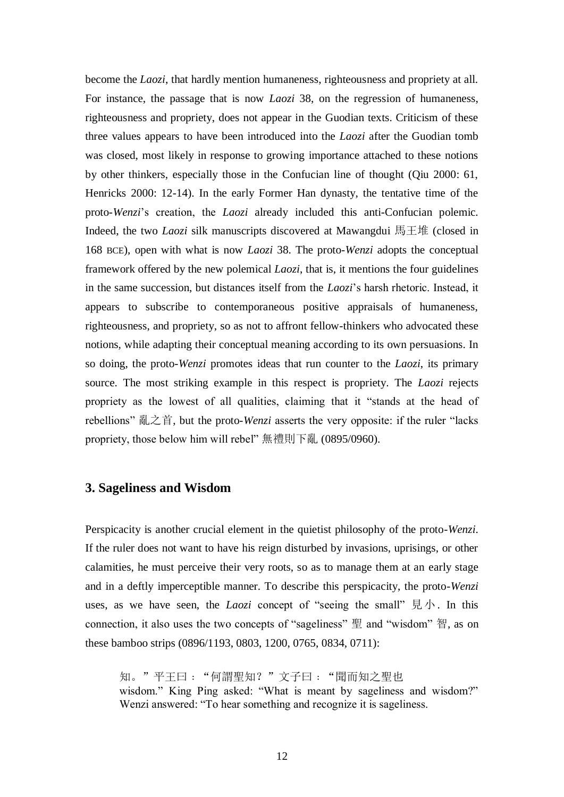become the *Laozi*, that hardly mention humaneness, righteousness and propriety at all. For instance, the passage that is now *Laozi* 38, on the regression of humaneness, righteousness and propriety, does not appear in the Guodian texts. Criticism of these three values appears to have been introduced into the *Laozi* after the Guodian tomb was closed, most likely in response to growing importance attached to these notions by other thinkers, especially those in the Confucian line of thought (Qiu 2000: 61, Henricks 2000: 12-14). In the early Former Han dynasty, the tentative time of the proto-*Wenzi*'s creation, the *Laozi* already included this anti-Confucian polemic. Indeed, the two *Laozi* silk manuscripts discovered at Mawangdui 馬王堆 (closed in 168 BCE), open with what is now *Laozi* 38. The proto-*Wenzi* adopts the conceptual framework offered by the new polemical *Laozi*, that is, it mentions the four guidelines in the same succession, but distances itself from the *Laozi*'s harsh rhetoric. Instead, it appears to subscribe to contemporaneous positive appraisals of humaneness, righteousness, and propriety, so as not to affront fellow-thinkers who advocated these notions, while adapting their conceptual meaning according to its own persuasions. In so doing, the proto-*Wenzi* promotes ideas that run counter to the *Laozi*, its primary source. The most striking example in this respect is propriety. The *Laozi* rejects propriety as the lowest of all qualities, claiming that it "stands at the head of rebellions" 亂之首, but the proto-*Wenzi* asserts the very opposite: if the ruler "lacks propriety, those below him will rebel" 無禮則下亂 (0895/0960).

#### <span id="page-11-0"></span>**3. Sageliness and Wisdom**

Perspicacity is another crucial element in the quietist philosophy of the proto-*Wenzi*. If the ruler does not want to have his reign disturbed by invasions, uprisings, or other calamities, he must perceive their very roots, so as to manage them at an early stage and in a deftly imperceptible manner. To describe this perspicacity, the proto-*Wenzi* uses, as we have seen, the *Laozi* concept of "seeing the small"  $\exists \Box \neg \Box$ . In this connection, it also uses the two concepts of "sageliness" 里 and "wisdom" 智, as on these bamboo strips (0896/1193, 0803, 1200, 0765, 0834, 0711):

知。"平王曰:"何謂聖知?"文子曰:"聞而知之聖也 wisdom." King Ping asked: "What is meant by sageliness and wisdom?" Wenzi answered: "To hear something and recognize it is sageliness.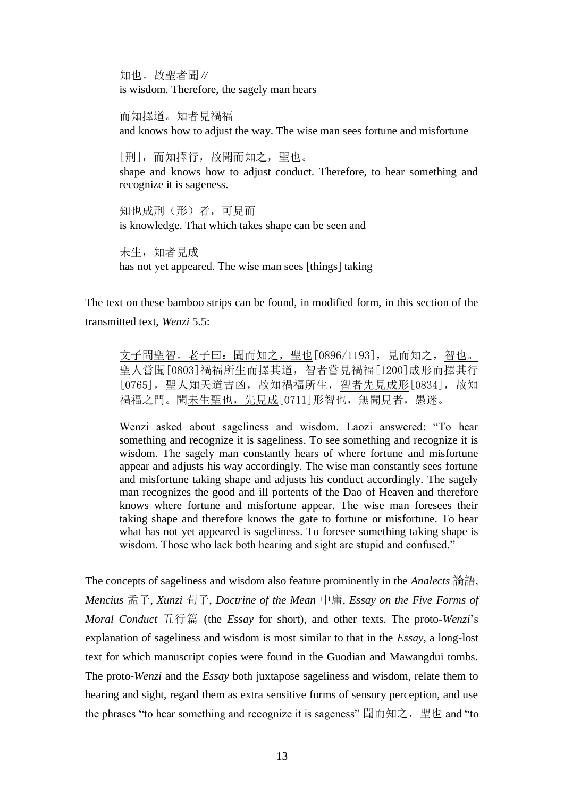知也。故聖者聞∥ is wisdom. Therefore, the sagely man hears

而知擇道。知者見禍福 and knows how to adjust the way. The wise man sees fortune and misfortune

[刑],而知擇行,故聞而知之,聖也。 shape and knows how to adjust conduct. Therefore, to hear something and recognize it is sageness.

知也成刑(形)者,可見而 is knowledge. That which takes shape can be seen and

未生,知者見成 has not yet appeared. The wise man sees [things] taking

The text on these bamboo strips can be found, in modified form, in this section of the transmitted text, *Wenzi* 5.5:

文子問聖智。老子曰:聞而知之,聖也[0896/1193],見而知之,智也。 聖人嘗聞[0803]禍福所生而擇其道,智者嘗見禍福[1200]成形而擇其行 [0765],聖人知天道吉凶,故知禍福所生,智者先見成形[0834],故知 禍福之門。聞未生聖也,先見成[0711]形智也,無聞見者,愚迷。

Wenzi asked about sageliness and wisdom. Laozi answered: "To hear something and recognize it is sageliness. To see something and recognize it is wisdom. The sagely man constantly hears of where fortune and misfortune appear and adjusts his way accordingly. The wise man constantly sees fortune and misfortune taking shape and adjusts his conduct accordingly. The sagely man recognizes the good and ill portents of the Dao of Heaven and therefore knows where fortune and misfortune appear. The wise man foresees their taking shape and therefore knows the gate to fortune or misfortune. To hear what has not yet appeared is sageliness. To foresee something taking shape is wisdom. Those who lack both hearing and sight are stupid and confused."

The concepts of sageliness and wisdom also feature prominently in the *Analects* 論語, *Mencius* 孟子, *Xunzi* 荀子, *Doctrine of the Mean* 中庸, *Essay on the Five Forms of Moral Conduct* 五行篇 (the *Essay* for short), and other texts. The proto-*Wenzi*'s explanation of sageliness and wisdom is most similar to that in the *Essay*, a long-lost text for which manuscript copies were found in the Guodian and Mawangdui tombs. The proto-*Wenzi* and the *Essay* both juxtapose sageliness and wisdom, relate them to hearing and sight, regard them as extra sensitive forms of sensory perception, and use the phrases "to hear something and recognize it is sageness" 聞而知之, 聖也 and "to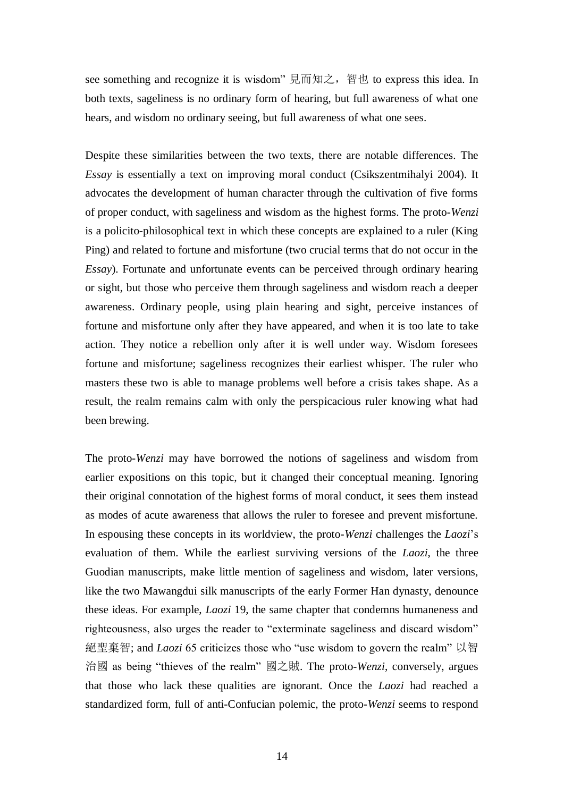see something and recognize it is wisdom" 見而知之, 智也 to express this idea. In both texts, sageliness is no ordinary form of hearing, but full awareness of what one hears, and wisdom no ordinary seeing, but full awareness of what one sees.

Despite these similarities between the two texts, there are notable differences. The *Essay* is essentially a text on improving moral conduct (Csikszentmihalyi 2004). It advocates the development of human character through the cultivation of five forms of proper conduct, with sageliness and wisdom as the highest forms. The proto-*Wenzi* is a policito-philosophical text in which these concepts are explained to a ruler (King Ping) and related to fortune and misfortune (two crucial terms that do not occur in the *Essay*). Fortunate and unfortunate events can be perceived through ordinary hearing or sight, but those who perceive them through sageliness and wisdom reach a deeper awareness. Ordinary people, using plain hearing and sight, perceive instances of fortune and misfortune only after they have appeared, and when it is too late to take action. They notice a rebellion only after it is well under way. Wisdom foresees fortune and misfortune; sageliness recognizes their earliest whisper. The ruler who masters these two is able to manage problems well before a crisis takes shape. As a result, the realm remains calm with only the perspicacious ruler knowing what had been brewing.

The proto-*Wenzi* may have borrowed the notions of sageliness and wisdom from earlier expositions on this topic, but it changed their conceptual meaning. Ignoring their original connotation of the highest forms of moral conduct, it sees them instead as modes of acute awareness that allows the ruler to foresee and prevent misfortune. In espousing these concepts in its worldview, the proto-*Wenzi* challenges the *Laozi*'s evaluation of them. While the earliest surviving versions of the *Laozi*, the three Guodian manuscripts, make little mention of sageliness and wisdom, later versions, like the two Mawangdui silk manuscripts of the early Former Han dynasty, denounce these ideas. For example, *Laozi* 19, the same chapter that condemns humaneness and righteousness, also urges the reader to "exterminate sageliness and discard wisdom" 絕聖棄智; and *Laozi* 65 criticizes those who "use wisdom to govern the realm" 以智 治國 as being "thieves of the realm" 國之賊. The proto-*Wenzi*, conversely, argues that those who lack these qualities are ignorant. Once the *Laozi* had reached a standardized form, full of anti-Confucian polemic, the proto-*Wenzi* seems to respond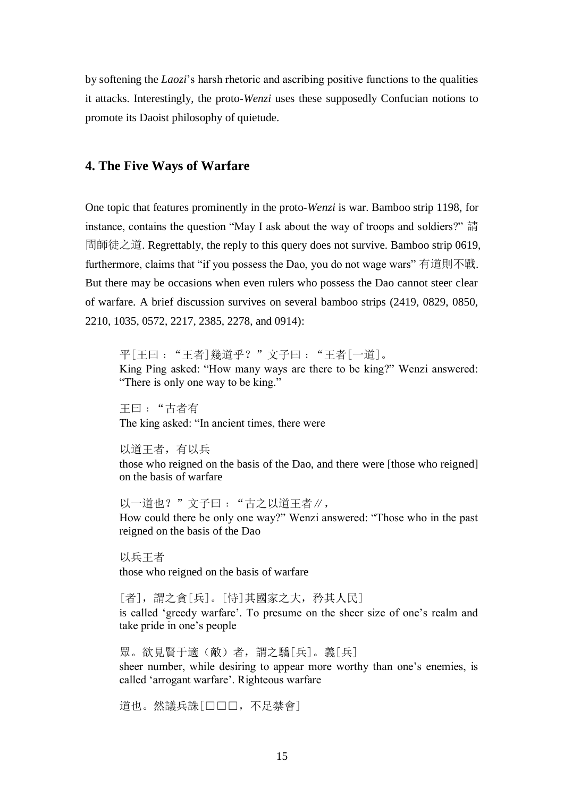by softening the *Laozi*'s harsh rhetoric and ascribing positive functions to the qualities it attacks. Interestingly, the proto-*Wenzi* uses these supposedly Confucian notions to promote its Daoist philosophy of quietude.

#### <span id="page-14-0"></span>**4. The Five Ways of Warfare**

One topic that features prominently in the proto-*Wenzi* is war. Bamboo strip 1198, for instance, contains the question "May I ask about the way of troops and soldiers?" 請 問師徒之道. Regrettably, the reply to this query does not survive. Bamboo strip 0619, furthermore, claims that "if you possess the Dao, you do not wage wars" 有道則不戰. But there may be occasions when even rulers who possess the Dao cannot steer clear of warfare. A brief discussion survives on several bamboo strips (2419, 0829, 0850, 2210, 1035, 0572, 2217, 2385, 2278, and 0914):

平[王曰:"王者]幾道乎?"文子曰:"王者[一道]。 King Ping asked: "How many ways are there to be king?" Wenzi answered: "There is only one way to be king."

王曰﹕"古者有 The king asked: "In ancient times, there were

以道王者,有以兵 those who reigned on the basis of the Dao, and there were [those who reigned] on the basis of warfare

以一道也?"文子曰:"古之以道王者//, How could there be only one way?" Wenzi answered: "Those who in the past reigned on the basis of the Dao

以兵王者 those who reigned on the basis of warfare

[者], 謂之貪[兵]。[恃]其國家之大, 矜其人民] is called 'greedy warfare'. To presume on the sheer size of one's realm and take pride in one's people

眾。欲見賢于適(敵)者,謂之驕[兵]。義[兵] sheer number, while desiring to appear more worthy than one's enemies, is called 'arrogant warfare'. Righteous warfare

道也。然議兵誅[□□□,不足禁會]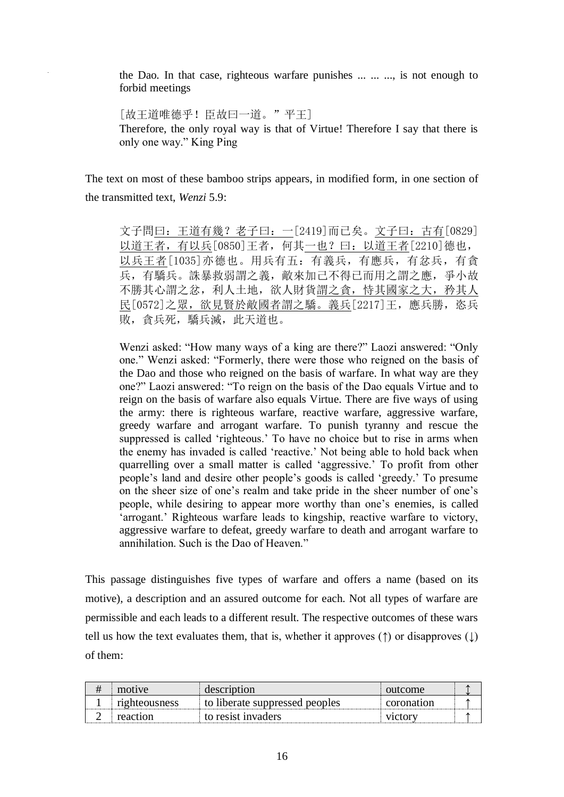the Dao. In that case, righteous warfare punishes ... ... ..., is not enough to forbid meetings

[故王道唯德乎!臣故曰一道。"平王] Therefore, the only royal way is that of Virtue! Therefore I say that there is only one way." King Ping

The text on most of these bamboo strips appears, in modified form, in one section of the transmitted text, *Wenzi* 5.9:

文子問曰: 王道有幾? 老子曰: 一[2419]而已矣。<u>文子曰: 古有[</u>0829] 以道王者,有以兵[0850]王者,何其一也?曰:以道王者[2210]德也, 以兵王者[1035]亦德也。用兵有五:有義兵,有應兵,有忿兵,有貪 兵,有驕兵。誅暴救弱謂之義,敵來加己不得已而用之謂之應,爭小故 不勝其心謂之忿,利人土地,欲人財貨謂之貪,恃其國家之大,矜其人 民[0572]之眾,欲見賢於敵國者謂之驕。義兵[2217]王,應兵勝,恣兵 敗,貪兵死,驕兵滅,此天道也。

Wenzi asked: "How many ways of a king are there?" Laozi answered: "Only one." Wenzi asked: "Formerly, there were those who reigned on the basis of the Dao and those who reigned on the basis of warfare. In what way are they one?" Laozi answered: "To reign on the basis of the Dao equals Virtue and to reign on the basis of warfare also equals Virtue. There are five ways of using the army: there is righteous warfare, reactive warfare, aggressive warfare, greedy warfare and arrogant warfare. To punish tyranny and rescue the suppressed is called 'righteous.' To have no choice but to rise in arms when the enemy has invaded is called 'reactive.' Not being able to hold back when quarrelling over a small matter is called 'aggressive.' To profit from other people's land and desire other people's goods is called 'greedy.' To presume on the sheer size of one's realm and take pride in the sheer number of one's people, while desiring to appear more worthy than one's enemies, is called 'arrogant.' Righteous warfare leads to kingship, reactive warfare to victory, aggressive warfare to defeat, greedy warfare to death and arrogant warfare to annihilation. Such is the Dao of Heaven."

This passage distinguishes five types of warfare and offers a name (based on its motive), a description and an assured outcome for each. Not all types of warfare are permissible and each leads to a different result. The respective outcomes of these wars tell us how the text evaluates them, that is, whether it approves  $(\uparrow)$  or disapproves  $(\downarrow)$ of them:

| motive        | description                    |            |  |
|---------------|--------------------------------|------------|--|
| righteousness | to liberate suppressed peoples | coronation |  |
| reaction      | to resist invaders             |            |  |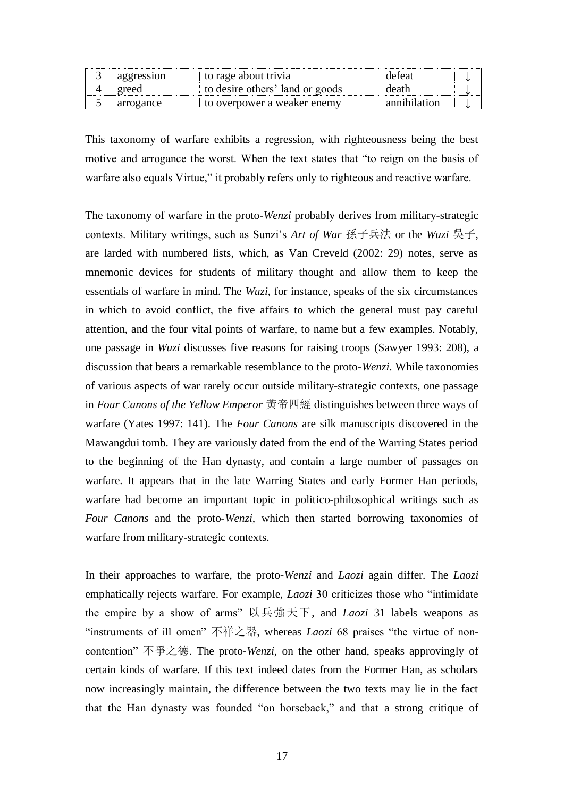| aggression | to rage about trivia            | defear       |  |
|------------|---------------------------------|--------------|--|
|            | to desire others' land or goods | death        |  |
| arrogance  | to overpower a weaker enemy     | annihilation |  |

This taxonomy of warfare exhibits a regression, with righteousness being the best motive and arrogance the worst. When the text states that "to reign on the basis of warfare also equals Virtue," it probably refers only to righteous and reactive warfare.

The taxonomy of warfare in the proto-*Wenzi* probably derives from military-strategic contexts. Military writings, such as Sunzi's *Art of War* 孫子兵法 or the *Wuzi* 吳子, are larded with numbered lists, which, as Van Creveld (2002: 29) notes, serve as mnemonic devices for students of military thought and allow them to keep the essentials of warfare in mind. The *Wuzi*, for instance, speaks of the six circumstances in which to avoid conflict, the five affairs to which the general must pay careful attention, and the four vital points of warfare, to name but a few examples. Notably, one passage in *Wuzi* discusses five reasons for raising troops (Sawyer 1993: 208), a discussion that bears a remarkable resemblance to the proto-*Wenzi*. While taxonomies of various aspects of war rarely occur outside military-strategic contexts, one passage in *Four Canons of the Yellow Emperor* 黃帝四經 distinguishes between three ways of warfare (Yates 1997: 141). The *Four Canons* are silk manuscripts discovered in the Mawangdui tomb. They are variously dated from the end of the Warring States period to the beginning of the Han dynasty, and contain a large number of passages on warfare. It appears that in the late Warring States and early Former Han periods, warfare had become an important topic in politico-philosophical writings such as *Four Canons* and the proto-*Wenzi*, which then started borrowing taxonomies of warfare from military-strategic contexts.

In their approaches to warfare, the proto-*Wenzi* and *Laozi* again differ. The *Laozi* emphatically rejects warfare. For example, *Laozi* 30 criticizes those who "intimidate the empire by a show of arms" 以兵強天下, and *Laozi* 31 labels weapons as "instruments of ill omen" 不祥之器, whereas *Laozi* 68 praises "the virtue of noncontention" 不爭之德. The proto-*Wenzi*, on the other hand, speaks approvingly of certain kinds of warfare. If this text indeed dates from the Former Han, as scholars now increasingly maintain, the difference between the two texts may lie in the fact that the Han dynasty was founded "on horseback," and that a strong critique of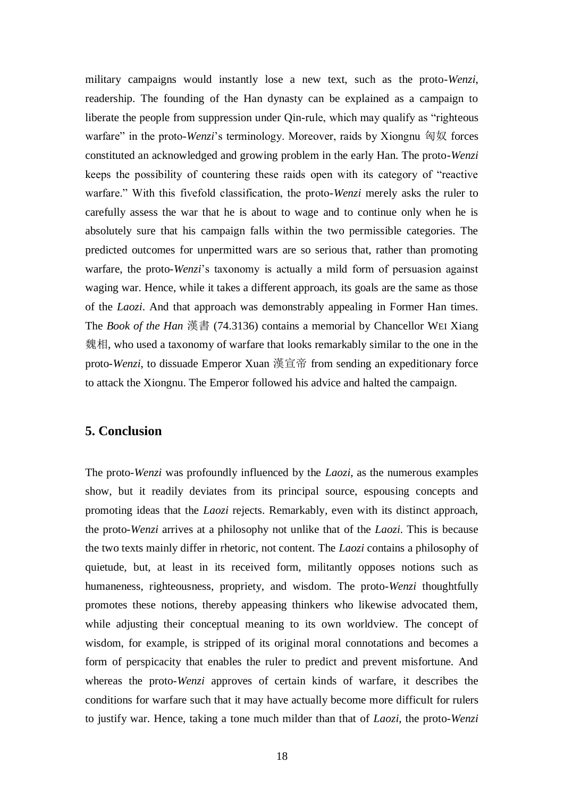military campaigns would instantly lose a new text, such as the proto-*Wenzi*, readership. The founding of the Han dynasty can be explained as a campaign to liberate the people from suppression under Qin-rule, which may qualify as "righteous warfare" in the proto-*Wenzi*'s terminology. Moreover, raids by Xiongnu 匈奴 forces constituted an acknowledged and growing problem in the early Han. The proto-*Wenzi* keeps the possibility of countering these raids open with its category of "reactive warfare." With this fivefold classification, the proto-*Wenzi* merely asks the ruler to carefully assess the war that he is about to wage and to continue only when he is absolutely sure that his campaign falls within the two permissible categories. The predicted outcomes for unpermitted wars are so serious that, rather than promoting warfare, the proto-*Wenzi*'s taxonomy is actually a mild form of persuasion against waging war. Hence, while it takes a different approach, its goals are the same as those of the *Laozi*. And that approach was demonstrably appealing in Former Han times. The *Book of the Han* 漢書 (74.3136) contains a memorial by Chancellor WEI Xiang 魏相, who used a taxonomy of warfare that looks remarkably similar to the one in the proto-*Wenzi*, to dissuade Emperor Xuan 漢宣帝 from sending an expeditionary force to attack the Xiongnu. The Emperor followed his advice and halted the campaign.

### <span id="page-17-0"></span>**5. Conclusion**

The proto-*Wenzi* was profoundly influenced by the *Laozi*, as the numerous examples show, but it readily deviates from its principal source, espousing concepts and promoting ideas that the *Laozi* rejects. Remarkably, even with its distinct approach, the proto-*Wenzi* arrives at a philosophy not unlike that of the *Laozi*. This is because the two texts mainly differ in rhetoric, not content. The *Laozi* contains a philosophy of quietude, but, at least in its received form, militantly opposes notions such as humaneness, righteousness, propriety, and wisdom. The proto-*Wenzi* thoughtfully promotes these notions, thereby appeasing thinkers who likewise advocated them, while adjusting their conceptual meaning to its own worldview. The concept of wisdom, for example, is stripped of its original moral connotations and becomes a form of perspicacity that enables the ruler to predict and prevent misfortune. And whereas the proto-*Wenzi* approves of certain kinds of warfare, it describes the conditions for warfare such that it may have actually become more difficult for rulers to justify war. Hence, taking a tone much milder than that of *Laozi*, the proto-*Wenzi*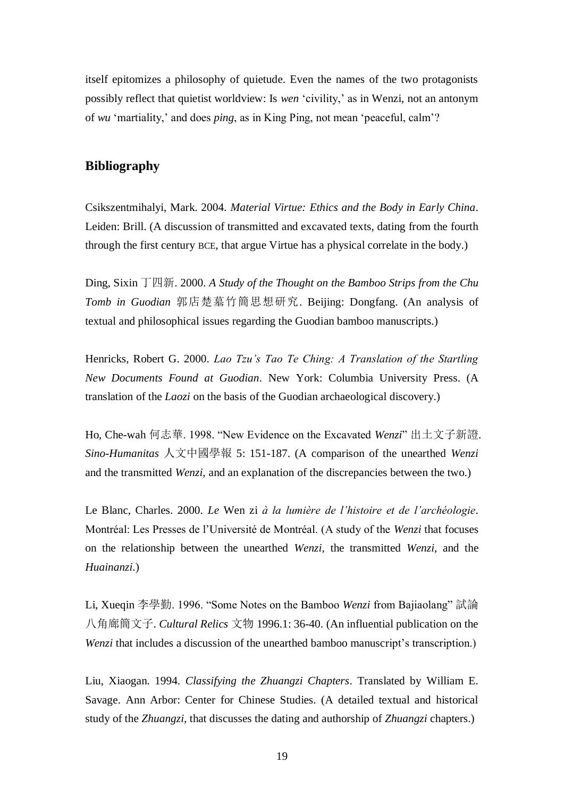itself epitomizes a philosophy of quietude. Even the names of the two protagonists possibly reflect that quietist worldview: Is *wen* 'civility,' as in Wenzi, not an antonym of *wu* 'martiality,' and does *ping*, as in King Ping, not mean 'peaceful, calm'?

# <span id="page-18-0"></span>**Bibliography**

Csikszentmihalyi, Mark. 2004. *Material Virtue: Ethics and the Body in Early China*. Leiden: Brill. (A discussion of transmitted and excavated texts, dating from the fourth through the first century BCE, that argue Virtue has a physical correlate in the body.)

Ding, Sixin 丁四新. 2000. *A Study of the Thought on the Bamboo Strips from the Chu Tomb in Guodian* 郭店楚墓竹簡思想研究. Beijing: Dongfang. (An analysis of textual and philosophical issues regarding the Guodian bamboo manuscripts.)

Henricks, Robert G. 2000. *Lao Tzu's Tao Te Ching: A Translation of the Startling New Documents Found at Guodian*. New York: Columbia University Press. (A translation of the *Laozi* on the basis of the Guodian archaeological discovery.)

Ho, Che-wah 何志華. 1998. "New Evidence on the Excavated *Wenzi*" 出土文子新證. *Sino-Humanitas* 人文中國學報 5: 151-187. (A comparison of the unearthed *Wenzi* and the transmitted *Wenzi*, and an explanation of the discrepancies between the two.)

Le Blanc, Charles. 2000. *Le* Wen zi *à la lumière de l'histoire et de l'archéologie*. Montréal: Les Presses de l'Université de Montréal. (A study of the *Wenzi* that focuses on the relationship between the unearthed *Wenzi*, the transmitted *Wenzi*, and the *Huainanzi*.)

Li, Xueqin 李學勤. 1996. "Some Notes on the Bamboo *Wenzi* from Bajiaolang" 試論 八角廊簡文子. *Cultural Relics* 文物 1996.1: 36-40. (An influential publication on the *Wenzi* that includes a discussion of the unearthed bamboo manuscript's transcription.)

Liu, Xiaogan. 1994. *Classifying the Zhuangzi Chapters*. Translated by William E. Savage. Ann Arbor: Center for Chinese Studies. (A detailed textual and historical study of the *Zhuangzi*, that discusses the dating and authorship of *Zhuangzi* chapters.)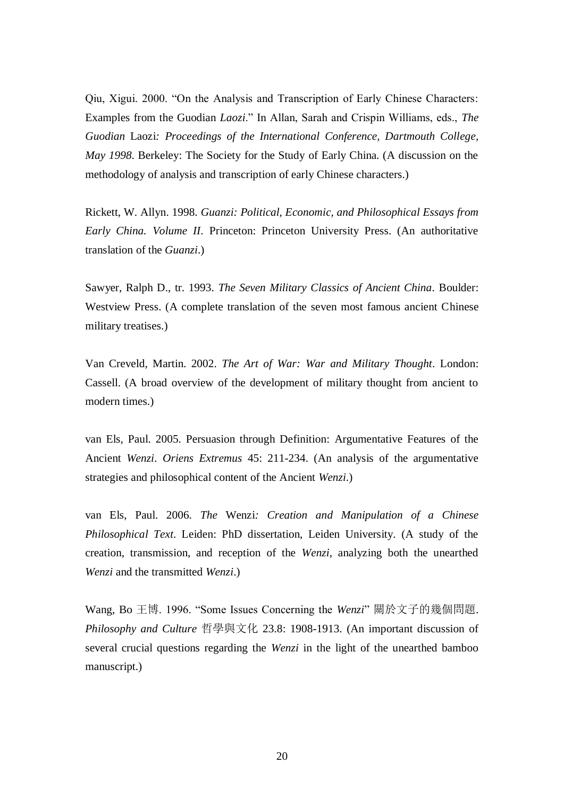Qiu, Xigui. 2000. "On the Analysis and Transcription of Early Chinese Characters: Examples from the Guodian *Laozi*." In Allan, Sarah and Crispin Williams, eds., *The Guodian* Laozi*: Proceedings of the International Conference, Dartmouth College, May 1998*. Berkeley: The Society for the Study of Early China. (A discussion on the methodology of analysis and transcription of early Chinese characters.)

Rickett, W. Allyn. 1998. *Guanzi: Political, Economic, and Philosophical Essays from Early China. Volume II*. Princeton: Princeton University Press. (An authoritative translation of the *Guanzi*.)

Sawyer, Ralph D., tr. 1993. *The Seven Military Classics of Ancient China*. Boulder: Westview Press. (A complete translation of the seven most famous ancient Chinese military treatises.)

Van Creveld, Martin. 2002. *The Art of War: War and Military Thought*. London: Cassell. (A broad overview of the development of military thought from ancient to modern times.)

van Els, Paul. 2005. Persuasion through Definition: Argumentative Features of the Ancient *Wenzi*. *Oriens Extremus* 45: 211-234. (An analysis of the argumentative strategies and philosophical content of the Ancient *Wenzi*.)

van Els, Paul. 2006. *The* Wenzi*: Creation and Manipulation of a Chinese Philosophical Text*. Leiden: PhD dissertation, Leiden University. (A study of the creation, transmission, and reception of the *Wenzi*, analyzing both the unearthed *Wenzi* and the transmitted *Wenzi*.)

Wang, Bo 王博. 1996. "Some Issues Concerning the *Wenzi*" 關於文子的幾個問題. *Philosophy and Culture* 哲學與文化 23.8: 1908-1913. (An important discussion of several crucial questions regarding the *Wenzi* in the light of the unearthed bamboo manuscript.)